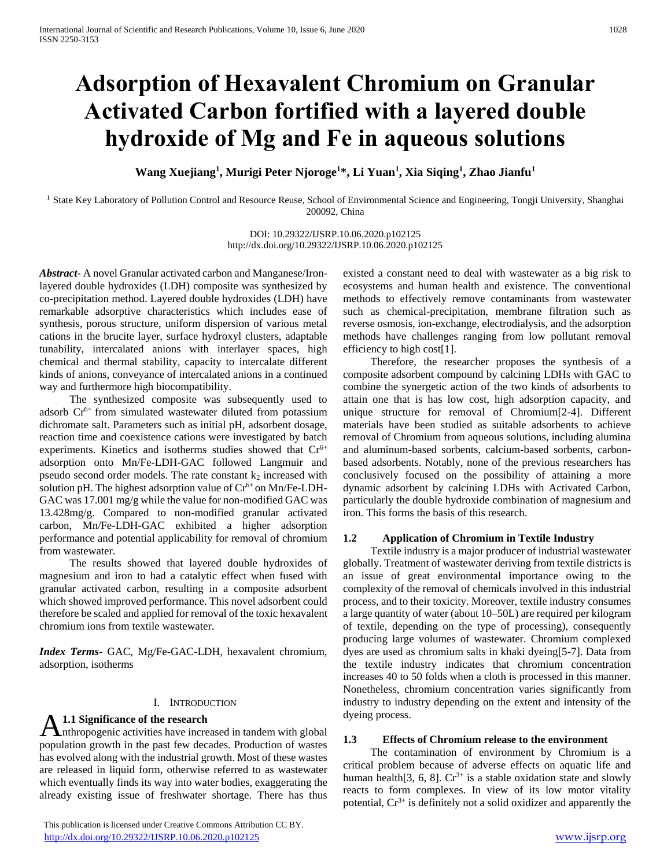# **Adsorption of Hexavalent Chromium on Granular Activated Carbon fortified with a layered double hydroxide of Mg and Fe in aqueous solutions**

**Wang Xuejiang<sup>1</sup> , Murigi Peter Njoroge<sup>1</sup>\*, Li Yuan<sup>1</sup> , Xia Siqing<sup>1</sup> , Zhao Jianfu<sup>1</sup>**

<sup>1</sup> State Key Laboratory of Pollution Control and Resource Reuse, School of Environmental Science and Engineering, Tongji University, Shanghai 200092, China

> DOI: 10.29322/IJSRP.10.06.2020.p102125 http://dx.doi.org/10.29322/IJSRP.10.06.2020.p102125

*Abstract***-** A novel Granular activated carbon and Manganese/Ironlayered double hydroxides (LDH) composite was synthesized by co-precipitation method. Layered double hydroxides (LDH) have remarkable adsorptive characteristics which includes ease of synthesis, porous structure, uniform dispersion of various metal cations in the brucite layer, surface hydroxyl clusters, adaptable tunability, intercalated anions with interlayer spaces, high chemical and thermal stability, capacity to intercalate different kinds of anions, conveyance of intercalated anions in a continued way and furthermore high biocompatibility.

 The synthesized composite was subsequently used to adsorb  $Cr<sup>6+</sup>$  from simulated wastewater diluted from potassium dichromate salt. Parameters such as initial pH, adsorbent dosage, reaction time and coexistence cations were investigated by batch experiments. Kinetics and isotherms studies showed that  $Cr^{6+}$ adsorption onto Mn/Fe-LDH-GAC followed Langmuir and pseudo second order models. The rate constant  $k_2$  increased with solution pH. The highest adsorption value of  $Cr^{6+}$  on Mn/Fe-LDH-GAC was 17.001 mg/g while the value for non-modified GAC was 13.428mg/g. Compared to non-modified granular activated carbon, Mn/Fe-LDH-GAC exhibited a higher adsorption performance and potential applicability for removal of chromium from wastewater.

 The results showed that layered double hydroxides of magnesium and iron to had a catalytic effect when fused with granular activated carbon, resulting in a composite adsorbent which showed improved performance. This novel adsorbent could therefore be scaled and applied for removal of the toxic hexavalent chromium ions from textile wastewater.

*Index Terms*- GAC, Mg/Fe-GAC-LDH, hexavalent chromium, adsorption, isotherms

## I. INTRODUCTION

## **1.1 Significance of the research**

A 1.1 Significance of the research<br>
Anthropogenic activities have increased in tandem with global population growth in the past few decades. Production of wastes has evolved along with the industrial growth. Most of these wastes are released in liquid form, otherwise referred to as wastewater which eventually finds its way into water bodies, exaggerating the already existing issue of freshwater shortage. There has thus

 This publication is licensed under Creative Commons Attribution CC BY. <http://dx.doi.org/10.29322/IJSRP.10.06.2020.p102125> [www.ijsrp.org](http://ijsrp.org/)

existed a constant need to deal with wastewater as a big risk to ecosystems and human health and existence. The conventional methods to effectively remove contaminants from wastewater such as chemical-precipitation, membrane filtration such as reverse osmosis, ion-exchange, electrodialysis, and the adsorption methods have challenges ranging from low pollutant removal efficiency to high cost[1].

 Therefore, the researcher proposes the synthesis of a composite adsorbent compound by calcining LDHs with GAC to combine the synergetic action of the two kinds of adsorbents to attain one that is has low cost, high adsorption capacity, and unique structure for removal of Chromium[2-4]. Different materials have been studied as suitable adsorbents to achieve removal of Chromium from aqueous solutions, including alumina and aluminum-based sorbents, calcium-based sorbents, carbonbased adsorbents. Notably, none of the previous researchers has conclusively focused on the possibility of attaining a more dynamic adsorbent by calcining LDHs with Activated Carbon, particularly the double hydroxide combination of magnesium and iron. This forms the basis of this research.

## **1.2 Application of Chromium in Textile Industry**

 Textile industry is a major producer of industrial wastewater globally. Treatment of wastewater deriving from textile districts is an issue of great environmental importance owing to the complexity of the removal of chemicals involved in this industrial process, and to their toxicity. Moreover, textile industry consumes a large quantity of water (about 10–50L) are required per kilogram of textile, depending on the type of processing), consequently producing large volumes of wastewater. Chromium complexed dyes are used as chromium salts in khaki dyeing[5-7]. Data from the textile industry indicates that chromium concentration increases 40 to 50 folds when a cloth is processed in this manner. Nonetheless, chromium concentration varies significantly from industry to industry depending on the extent and intensity of the dyeing process.

## **1.3 Effects of Chromium release to the environment**

 The contamination of environment by Chromium is a critical problem because of adverse effects on aquatic life and human health[3, 6, 8].  $Cr^{3+}$  is a stable oxidation state and slowly reacts to form complexes. In view of its low motor vitality potential,  $Cr^{3+}$  is definitely not a solid oxidizer and apparently the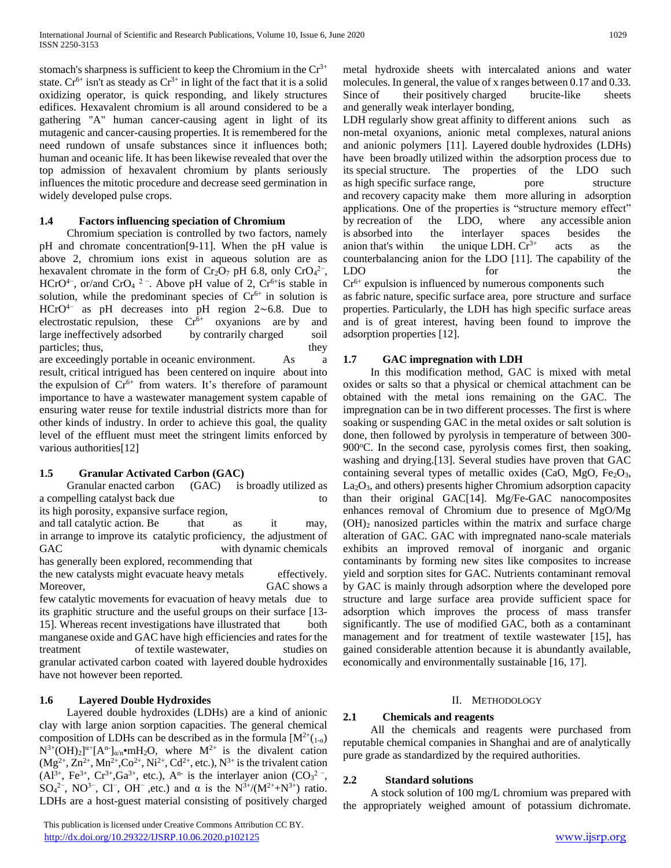stomach's sharpness is sufficient to keep the Chromium in the  $Cr^{3+}$ state. Cr<sup>6+</sup> isn't as steady as  $Cr^{3+}$  in light of the fact that it is a solid oxidizing operator, is quick responding, and likely structures edifices. Hexavalent chromium is all around considered to be a gathering "A" human cancer-causing agent in light of its mutagenic and cancer-causing properties. It is remembered for the need rundown of unsafe substances since it influences both; human and oceanic life. It has been likewise revealed that over the top admission of hexavalent chromium by plants seriously influences the mitotic procedure and decrease seed germination in widely developed pulse crops.

## **1.4 Factors influencing speciation of Chromium**

 Chromium speciation is controlled by two factors, namely pH and chromate concentration[9-11]. When the pH value is above 2, chromium ions exist in aqueous solution are as hexavalent chromate in the form of  $Cr_2O_7$  pH 6.8, only  $CrO_4^{2-}$ , HCrO<sup>4-</sup>, or/and CrO<sub>4</sub><sup>2-</sup>. Above pH value of 2, Cr<sup>6+</sup>is stable in solution, while the predominant species of  $Cr<sup>6+</sup>$  in solution is HCrO4− as pH decreases into pH region 2∼6.8. Due to electrostatic repulsion, these  $Cr<sup>6+</sup>$  oxyanions are by and large ineffectively adsorbed by contrarily charged soil particles; thus, they have they have they have they have they have they have they have they have the set of  $\mathbb{R}^n$ . are exceedingly portable in oceanic environment. As a

result, critical intrigued has been centered on inquire about into the expulsion of  $Cr^{6+}$  from waters. It's therefore of paramount importance to have a wastewater management system capable of ensuring water reuse for textile industrial districts more than for other kinds of industry. In order to achieve this goal, the quality level of the effluent must meet the stringent limits enforced by various authorities[12]

# **1.5 Granular Activated Carbon (GAC)**

 Granular enacted carbon (GAC) is broadly utilized as a compelling catalyst back due to its high porosity, expansive surface region,

and tall catalytic action. Be that as it may, in arrange to improve its catalytic proficiency, the adjustment of GAC with dynamic chemicals has generally been explored, recommending that the new catalysts might evacuate heavy metals effectively. Moreover, GAC shows a few catalytic movements for evacuation of heavy metals due to its graphitic structure and the useful groups on their surface [13- 15]. Whereas recent investigations have illustrated that both manganese oxide and GAC have high efficiencies and rates for the treatment of textile wastewater, studies on granular activated carbon coated with layered double hydroxides have not however been reported.

# **1.6 Layered Double Hydroxides**

 Layered double hydroxides (LDHs) are a kind of anionic clay with large anion sorption capacities. The general chemical composition of LDHs can be described as in the formula  $[M^{2+}(1-a)]$  $N^{3+}(\text{OH})_2$ <sup> $\alpha$ +</sup>[A<sup>n-</sup>]<sub>α/n</sub>•mH<sub>2</sub>O, where  $M^{2+}$  is the divalent cation  $(Mg^{2+}, Zn^{2+}, Mn^{2+}, Co^{2+}, Ni^{2+}, Cd^{2+}, etc.), N^{3+}$  is the trivalent cation  $(A1^{3+}, \text{Fe}^{3+}, \text{Cr}^{3+}, \text{Ga}^{3+}, \text{ etc.}), A^{n}$  is the interlayer anion  $(CO_3^2, C)$ SO<sub>4</sub><sup>2-</sup>, NO<sup>3-</sup>, Cl<sup>-</sup>, OH<sup>-</sup>, etc.) and  $\alpha$  is the N<sup>3+</sup>/(M<sup>2+</sup>+N<sup>3+</sup>) ratio. LDHs are a host-guest material consisting of positively charged

metal hydroxide sheets with intercalated anions and water molecules. In general, the value of x ranges between 0.17 and 0.33. Since of their positively charged brucite-like sheets and generally weak interlayer bonding,

LDH regularly show great affinity to different anions such as non-metal oxyanions, anionic metal complexes, natural anions and anionic polymers [11]. Layered double hydroxides (LDHs) have been broadly utilized within the adsorption process due to its special structure. The properties of the LDO such as high specific surface range, pore structure and recovery capacity make them more alluring in adsorption applications. One of the properties is "structure memory effect" by recreation of the LDO, where any accessible anion is absorbed into the interlayer spaces besides the anion that's within the unique LDH.  $Cr^{3+}$  acts as the counterbalancing anion for the LDO [11]. The capability of the LDO for the

 $Cr<sup>6+</sup>$  expulsion is influenced by numerous components such as fabric nature, specific surface area, pore structure and surface properties. Particularly, the LDH has high specific surface areas and is of great interest, having been found to improve the adsorption properties [12].

# **1.7 GAC impregnation with LDH**

 In this modification method, GAC is mixed with metal oxides or salts so that a physical or chemical attachment can be obtained with the metal ions remaining on the GAC. The impregnation can be in two different processes. The first is where soaking or suspending GAC in the metal oxides or salt solution is done, then followed by pyrolysis in temperature of between 300- 900 $^{\circ}$ C. In the second case, pyrolysis comes first, then soaking, washing and drying.[13]. Several studies have proven that GAC containing several types of metallic oxides (CaO, MgO, Fe<sub>2</sub>O<sub>3</sub>,  $La<sub>2</sub>O<sub>3</sub>$ , and others) presents higher Chromium adsorption capacity than their original GAC[14]. Mg/Fe-GAC nanocomposites enhances removal of Chromium due to presence of MgO/Mg  $(OH)_2$  nanosized particles within the matrix and surface charge alteration of GAC. GAC with impregnated nano-scale materials exhibits an improved removal of inorganic and organic contaminants by forming new sites like composites to increase yield and sorption sites for GAC. Nutrients contaminant removal by GAC is mainly through adsorption where the developed pore structure and large surface area provide sufficient space for adsorption which improves the process of mass transfer significantly. The use of modified GAC, both as a contaminant management and for treatment of textile wastewater [15], has gained considerable attention because it is abundantly available, economically and environmentally sustainable [16, 17].

## II. METHODOLOGY

# **2.1 Chemicals and reagents**

 All the chemicals and reagents were purchased from reputable chemical companies in Shanghai and are of analytically pure grade as standardized by the required authorities.

## **2.2 Standard solutions**

 A stock solution of 100 mg/L chromium was prepared with the appropriately weighed amount of potassium dichromate.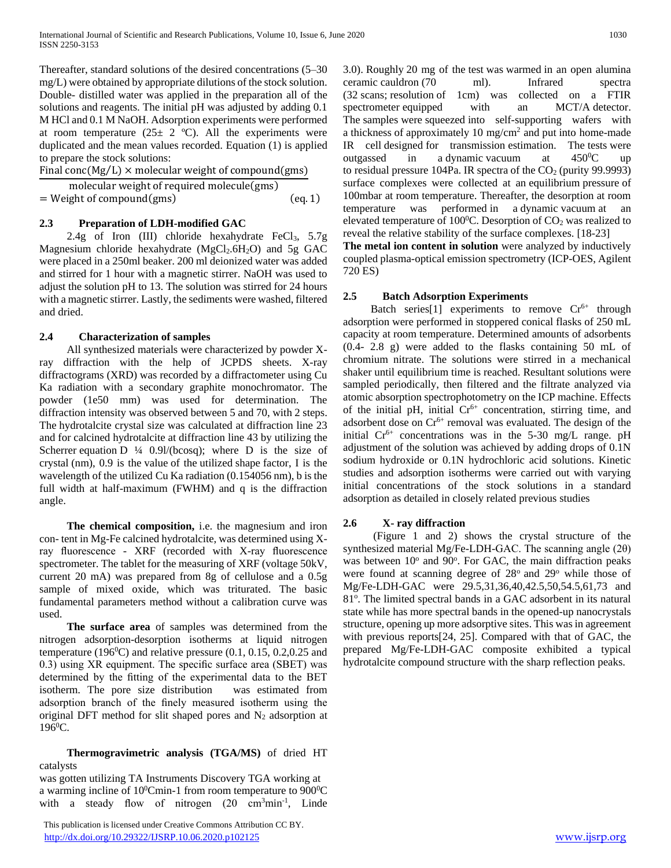Thereafter, standard solutions of the desired concentrations (5–30 mg/L) were obtained by appropriate dilutions of the stock solution. Double- distilled water was applied in the preparation all of the solutions and reagents. The initial pH was adjusted by adding 0.1 M HCl and 0.1 M NaOH. Adsorption experiments were performed at room temperature  $(25 \pm 2 \degree C)$ . All the experiments were duplicated and the mean values recorded. Equation (1) is applied to prepare the stock solutions:

Final conc(Mg/L)  $\times$  molecular weight of compound(gms)

molecular weight of required molecule(gms)

= Weight of compound(gms) (eq. 1)

# **2.3 Preparation of LDH-modified GAC**

2.4g of Iron (III) chloride hexahydrate FeCl<sub>3</sub>,  $5.7g$ Magnesium chloride hexahydrate  $(MgCl<sub>2</sub>.6H<sub>2</sub>O)$  and 5g GAC were placed in a 250ml beaker. 200 ml deionized water was added and stirred for 1 hour with a magnetic stirrer. NaOH was used to adjust the solution pH to 13. The solution was stirred for 24 hours with a magnetic stirrer. Lastly, the sediments were washed, filtered and dried.

# **2.4 Characterization of samples**

 All synthesized materials were characterized by powder Xray diffraction with the help of JCPDS sheets. X-ray diffractograms (XRD) was recorded by a diffractometer using Cu Ka radiation with a secondary graphite monochromator. The powder (1e50 mm) was used for determination. The diffraction intensity was observed between 5 and 70, with 2 steps. The hydrotalcite crystal size was calculated at diffraction line 23 and for calcined hydrotalcite at diffraction line 43 by utilizing the Scherrer equation D  $\frac{1}{4}$  0.9l/(bcosq); where D is the size of crystal (nm), 0.9 is the value of the utilized shape factor, I is the wavelength of the utilized Cu Ka radiation (0.154056 nm), b is the full width at half-maximum (FWHM) and q is the diffraction angle.

 **The chemical composition,** i.e. the magnesium and iron con- tent in Mg-Fe calcined hydrotalcite, was determined using Xray fluorescence - XRF (recorded with X-ray fluorescence spectrometer. The tablet for the measuring of XRF (voltage 50kV, current 20 mA) was prepared from 8g of cellulose and a 0.5g sample of mixed oxide, which was triturated. The basic fundamental parameters method without a calibration curve was used.

 **The surface area** of samples was determined from the nitrogen adsorption-desorption isotherms at liquid nitrogen temperature (196 $^{\circ}$ C) and relative pressure (0.1, 0.15, 0.2,0.25 and 0.3) using XR equipment. The specific surface area (SBET) was determined by the fitting of the experimental data to the BET isotherm. The pore size distribution was estimated from adsorption branch of the finely measured isotherm using the original DFT method for slit shaped pores and  $N_2$  adsorption at  $196^{\circ}$ C.

 **Thermogravimetric analysis (TGA/MS)** of dried HT catalysts

was gotten utilizing TA Instruments Discovery TGA working at a warming incline of  $10^0$ Cmin-1 from room temperature to  $900^0$ C with a steady flow of nitrogen  $(20 \text{ cm}^3 \text{min}^{-1})$ , Linde

 This publication is licensed under Creative Commons Attribution CC BY. <http://dx.doi.org/10.29322/IJSRP.10.06.2020.p102125> [www.ijsrp.org](http://ijsrp.org/)

3.0). Roughly 20 mg of the test was warmed in an open alumina ceramic cauldron (70 ml). Infrared spectra (32 scans; resolution of 1cm) was collected on a FTIR spectrometer equipped with an MCT/A detector. The samples were squeezed into self-supporting wafers with a thickness of approximately 10  $mg/cm<sup>2</sup>$  and put into home-made IR cell designed for transmission estimation. The tests were outgassed in a dynamic vacuum at  $450^{\circ}$ C up to residual pressure 104Pa. IR spectra of the  $CO<sub>2</sub>$  (purity 99.9993) surface complexes were collected at an equilibrium pressure of 100mbar at room temperature. Thereafter, the desorption at room temperature was performed in a dynamic vacuum at an elevated temperature of 100 $\degree$ C. Desorption of CO<sub>2</sub> was realized to reveal the relative stability of the surface complexes. [18-23]

**The metal ion content in solution** were analyzed by inductively coupled plasma-optical emission spectrometry (ICP-OES, Agilent 720 ES)

# **2.5 Batch Adsorption Experiments**

Batch series<sup>[1]</sup> experiments to remove  $Cr<sup>6+</sup>$  through adsorption were performed in stoppered conical flasks of 250 mL capacity at room temperature. Determined amounts of adsorbents (0.4- 2.8 g) were added to the flasks containing 50 mL of chromium nitrate. The solutions were stirred in a mechanical shaker until equilibrium time is reached. Resultant solutions were sampled periodically, then filtered and the filtrate analyzed via atomic absorption spectrophotometry on the ICP machine. Effects of the initial pH, initial  $Cr<sup>6+</sup>$  concentration, stirring time, and adsorbent dose on  $Cr^{6+}$  removal was evaluated. The design of the initial  $Cr^{6+}$  concentrations was in the 5-30 mg/L range. pH adjustment of the solution was achieved by adding drops of 0.1N sodium hydroxide or 0.1N hydrochloric acid solutions. Kinetic studies and adsorption isotherms were carried out with varying initial concentrations of the stock solutions in a standard adsorption as detailed in closely related previous studies

# **2.6 X- ray diffraction**

 (Figure 1 and 2) shows the crystal structure of the synthesized material Mg/Fe-LDH-GAC. The scanning angle (2θ) was between 10° and 90°. For GAC, the main diffraction peaks were found at scanning degree of  $28^\circ$  and  $29^\circ$  while those of Mg/Fe-LDH-GAC were 29.5,31,36,40,42.5,50,54.5,61,73 and 81°. The limited spectral bands in a GAC adsorbent in its natural state while has more spectral bands in the opened-up nanocrystals structure, opening up more adsorptive sites. This was in agreement with previous reports[24, 25]. Compared with that of GAC, the prepared Mg/Fe-LDH-GAC composite exhibited a typical hydrotalcite compound structure with the sharp reflection peaks.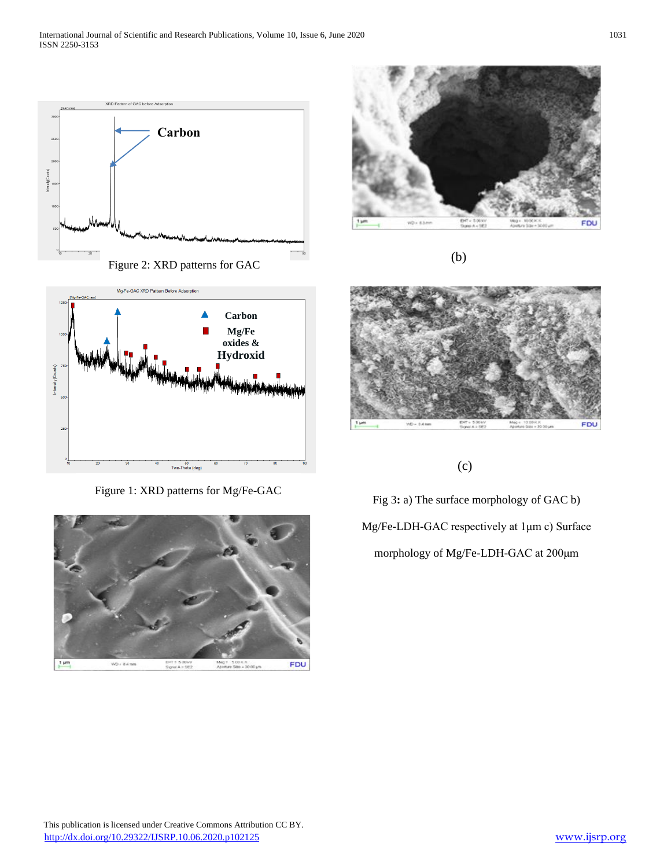



Figure 1: XRD patterns for Mg/Fe-GAC





(b)



(c)

Fig 3**:** a) The surface morphology of GAC b) Mg/Fe-LDH-GAC respectively at 1μm c) Surface morphology of Mg/Fe-LDH-GAC at 200μm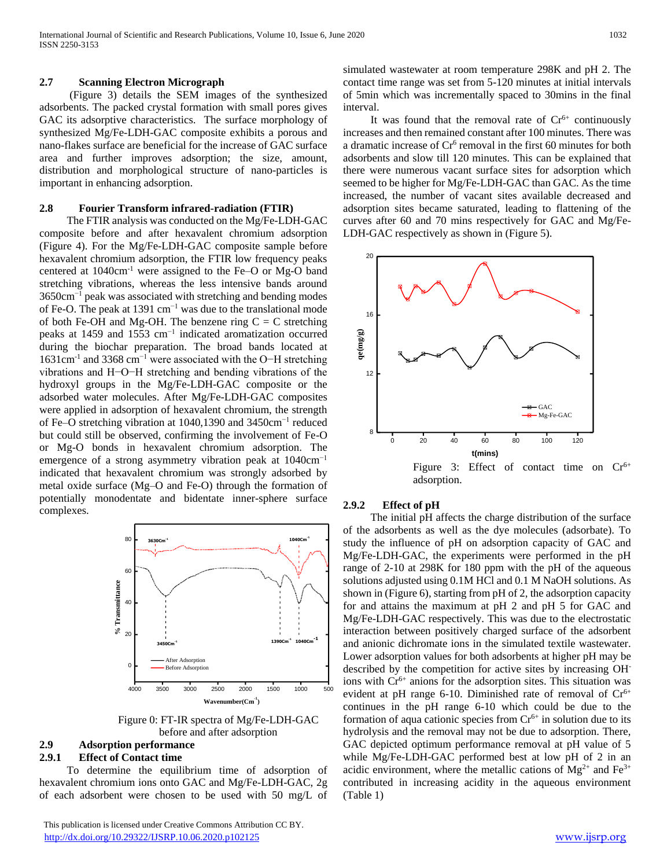#### **2.7 Scanning Electron Micrograph**

 (Figure 3) details the SEM images of the synthesized adsorbents. The packed crystal formation with small pores gives GAC its adsorptive characteristics. The surface morphology of synthesized Mg/Fe-LDH-GAC composite exhibits a porous and nano-flakes surface are beneficial for the increase of GAC surface area and further improves adsorption; the size, amount, distribution and morphological structure of nano-particles is important in enhancing adsorption.

#### **2.8 Fourier Transform infrared-radiation (FTIR)**

 The FTIR analysis was conducted on the Mg/Fe-LDH-GAC composite before and after hexavalent chromium adsorption (Figure 4). For the Mg/Fe-LDH-GAC composite sample before hexavalent chromium adsorption, the FTIR low frequency peaks centered at 1040cm-1 were assigned to the Fe–O or Mg-O band stretching vibrations, whereas the less intensive bands around 3650cm−1 peak was associated with stretching and bending modes of Fe-O. The peak at 1391 cm−1 was due to the translational mode of both Fe-OH and Mg-OH. The benzene ring  $C = C$  stretching peaks at 1459 and 1553 cm<sup>-1</sup> indicated aromatization occurred during the biochar preparation. The broad bands located at 1631cm-1 and 3368 cm−1 were associated with the O−H stretching vibrations and H−O−H stretching and bending vibrations of the hydroxyl groups in the Mg/Fe-LDH-GAC composite or the adsorbed water molecules. After Mg/Fe-LDH-GAC composites were applied in adsorption of hexavalent chromium, the strength of Fe–O stretching vibration at 1040,1390 and 3450cm−1 reduced but could still be observed, confirming the involvement of Fe-O or Mg-O bonds in hexavalent chromium adsorption. The emergence of a strong asymmetry vibration peak at 1040cm<sup>-1</sup> indicated that hexavalent chromium was strongly adsorbed by metal oxide surface (Mg–O and Fe-O) through the formation of potentially monodentate and bidentate inner-sphere surface complexes.



Figure 0: FT-IR spectra of Mg/Fe-LDH-GAC before and after adsorption

# **2.9 Adsorption performance**

## **2.9.1 Effect of Contact time**

 To determine the equilibrium time of adsorption of hexavalent chromium ions onto GAC and Mg/Fe-LDH-GAC, 2g of each adsorbent were chosen to be used with 50 mg/L of simulated wastewater at room temperature 298K and pH 2. The contact time range was set from 5-120 minutes at initial intervals of 5min which was incrementally spaced to 30mins in the final interval.

It was found that the removal rate of  $Cr<sup>6+</sup>$  continuously increases and then remained constant after 100 minutes. There was a dramatic increase of  $Cr^6$  removal in the first 60 minutes for both adsorbents and slow till 120 minutes. This can be explained that there were numerous vacant surface sites for adsorption which seemed to be higher for Mg/Fe-LDH-GAC than GAC. As the time increased, the number of vacant sites available decreased and adsorption sites became saturated, leading to flattening of the curves after 60 and 70 mins respectively for GAC and Mg/Fe-LDH-GAC respectively as shown in (Figure 5).



#### **2.9.2 Effect of pH**

 The initial pH affects the charge distribution of the surface of the adsorbents as well as the dye molecules (adsorbate). To study the influence of pH on adsorption capacity of GAC and Mg/Fe-LDH-GAC, the experiments were performed in the pH range of 2-10 at 298K for 180 ppm with the pH of the aqueous solutions adjusted using  $0.1M$  HCl and  $0.1M$  NaOH solutions. As shown in (Figure 6), starting from pH of 2, the adsorption capacity for and attains the maximum at pH 2 and pH 5 for GAC and Mg/Fe-LDH-GAC respectively. This was due to the electrostatic interaction between positively charged surface of the adsorbent and anionic dichromate ions in the simulated textile wastewater. Lower adsorption values for both adsorbents at higher pH may be described by the competition for active sites by increasing OHions with Cr<sup>6+</sup> anions for the adsorption sites. This situation was evident at pH range 6-10. Diminished rate of removal of  $Cr^{6+}$ continues in the pH range 6-10 which could be due to the formation of aqua cationic species from  $Cr<sup>6+</sup>$  in solution due to its hydrolysis and the removal may not be due to adsorption. There, GAC depicted optimum performance removal at pH value of 5 while Mg/Fe-LDH-GAC performed best at low pH of 2 in an acidic environment, where the metallic cations of  $Mg^{2+}$  and  $Fe^{3+}$ contributed in increasing acidity in the aqueous environment (Table 1)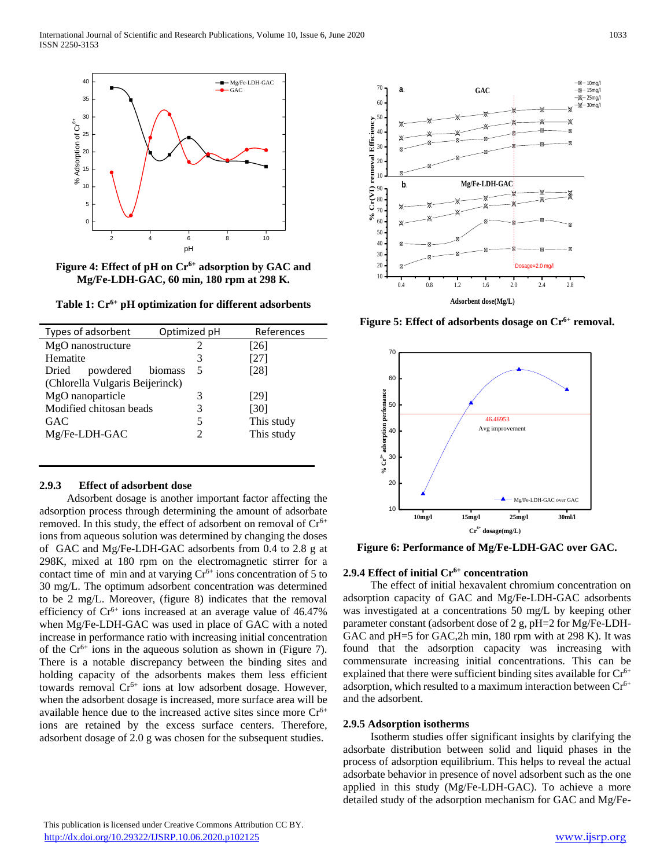

**Figure 4: Effect of pH on Cr6+ adsorption by GAC and Mg/Fe-LDH-GAC, 60 min, 180 rpm at 298 K.**

**Table 1: Cr6+ pH optimization for different adsorbents**

| Types of adsorbent              | Optimized pH | References |  |  |  |
|---------------------------------|--------------|------------|--|--|--|
| MgO nanostructure               |              | [26]       |  |  |  |
| Hematite                        | 3            | [27]       |  |  |  |
| powdered<br>Dried               | biomass<br>5 | [28]       |  |  |  |
| (Chlorella Vulgaris Beijerinck) |              |            |  |  |  |
| MgO nanoparticle                | 3            | [29]       |  |  |  |
| Modified chitosan beads         | 3            | [30]       |  |  |  |
| GAC                             | 5            | This study |  |  |  |
| Mg/Fe-LDH-GAC                   | 2            | This study |  |  |  |
|                                 |              |            |  |  |  |

#### **2.9.3 Effect of adsorbent dose**

 Adsorbent dosage is another important factor affecting the adsorption process through determining the amount of adsorbate removed. In this study, the effect of adsorbent on removal of  $Cr<sup>6+</sup>$ ions from aqueous solution was determined by changing the doses of GAC and Mg/Fe-LDH-GAC adsorbents from 0.4 to 2.8 g at 298K, mixed at 180 rpm on the electromagnetic stirrer for a contact time of min and at varying  $Cr<sup>6+</sup>$  ions concentration of 5 to 30 mg/L. The optimum adsorbent concentration was determined to be 2 mg/L. Moreover, (figure 8) indicates that the removal efficiency of  $Cr^{6+}$  ions increased at an average value of 46.47% when Mg/Fe-LDH-GAC was used in place of GAC with a noted increase in performance ratio with increasing initial concentration of the  $Cr^{6+}$  ions in the aqueous solution as shown in (Figure 7). There is a notable discrepancy between the binding sites and holding capacity of the adsorbents makes them less efficient towards removal  $Cr^{6+}$  ions at low adsorbent dosage. However, when the adsorbent dosage is increased, more surface area will be available hence due to the increased active sites since more  $Cr<sup>6+</sup>$ ions are retained by the excess surface centers. Therefore, adsorbent dosage of 2.0 g was chosen for the subsequent studies.



**Figure 5: Effect of adsorbents dosage on Cr6+ removal.**



**Figure 6: Performance of Mg/Fe-LDH-GAC over GAC.**

## **2.9.4 Effect of initial Cr6+ concentration**

 The effect of initial hexavalent chromium concentration on adsorption capacity of GAC and Mg/Fe-LDH-GAC adsorbents was investigated at a concentrations 50 mg/L by keeping other parameter constant (adsorbent dose of 2 g, pH=2 for Mg/Fe-LDH-GAC and pH=5 for GAC,2h min, 180 rpm with at 298 K). It was found that the adsorption capacity was increasing with commensurate increasing initial concentrations. This can be explained that there were sufficient binding sites available for  $Cr<sup>6+</sup>$ adsorption, which resulted to a maximum interaction between  $Cr<sup>6+</sup>$ and the adsorbent.

#### **2.9.5 Adsorption isotherms**

 Isotherm studies offer significant insights by clarifying the adsorbate distribution between solid and liquid phases in the process of adsorption equilibrium. This helps to reveal the actual adsorbate behavior in presence of novel adsorbent such as the one applied in this study (Mg/Fe-LDH-GAC). To achieve a more detailed study of the adsorption mechanism for GAC and Mg/Fe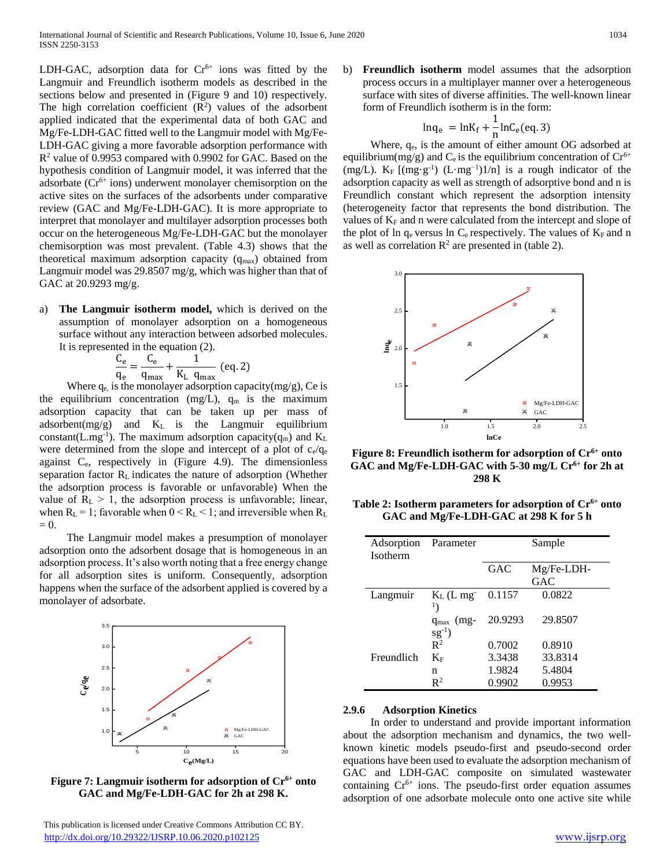LDH-GAC, adsorption data for  $Cr^{6+}$  ions was fitted by the Langmuir and Freundlich isotherm models as described in the sections below and presented in (Figure 9 and 10) respectively. The high correlation coefficient  $(R^2)$  values of the adsorbent applied indicated that the experimental data of both GAC and Mg/Fe-LDH-GAC fitted well to the Langmuir model with Mg/Fe-LDH-GAC giving a more favorable adsorption performance with  $R<sup>2</sup>$  value of 0.9953 compared with 0.9902 for GAC. Based on the hypothesis condition of Langmuir model, it was inferred that the adsorbate (Cr6+ ions) underwent monolayer chemisorption on the active sites on the surfaces of the adsorbents under comparative review (GAC and Mg/Fe-LDH-GAC). It is more appropriate to interpret that monolayer and multilayer adsorption processes both occur on the heterogeneous Mg/Fe-LDH-GAC but the monolayer chemisorption was most prevalent. (Table 4.3) shows that the theoretical maximum adsorption capacity  $(q_{max})$  obtained from Langmuir model was 29.8507 mg/g, which was higher than that of GAC at 20.9293 mg/g.

**The Langmuir isotherm model,** which is derived on the assumption of monolayer adsorption on a homogeneous surface without any interaction between adsorbed molecules. It is represented in the equation (2).

$$
\frac{C_e}{q_e} = \frac{C_e}{q_{max}} + \frac{1}{K_L q_{max}} \text{ (eq. 2)}
$$

Where  $q_e$  is the monolayer adsorption capacity(mg/g), Ce is the equilibrium concentration (mg/L),  $q_m$  is the maximum adsorption capacity that can be taken up per mass of adsorbent( $mg/g$ ) and  $K<sub>L</sub>$  is the Langmuir equilibrium constant(L.mg<sup>-1</sup>). The maximum adsorption capacity( $q_m$ ) and  $K_L$ were determined from the slope and intercept of a plot of  $c_e/q_e$ against  $C_e$ , respectively in (Figure 4.9). The dimensionless separation factor RL indicates the nature of adsorption (Whether the adsorption process is favorable or unfavorable) When the value of  $R_L > 1$ , the adsorption process is unfavorable; linear, when  $R_L = 1$ ; favorable when  $0 < R_L < 1$ ; and irreversible when  $R_L$  $= 0.$ 

 The Langmuir model makes a presumption of monolayer adsorption onto the adsorbent dosage that is homogeneous in an adsorption process. It's also worth noting that a free energy change for all adsorption sites is uniform. Consequently, adsorption happens when the surface of the adsorbent applied is covered by a monolayer of adsorbate.



**Figure 7: Langmuir isotherm for adsorption of Cr6+ onto GAC and Mg/Fe-LDH-GAC for 2h at 298 K.**

b) **Freundlich isotherm** model assumes that the adsorption process occurs in a multiplayer manner over a heterogeneous surface with sites of diverse affinities. The well-known linear form of Freundlich isotherm is in the form:

$$
\ln q_e = \ln K_f + \frac{1}{n} \ln C_e (eq. 3)
$$

Where,  $q_e$ , is the amount of either amount OG adsorbed at equilibrium(mg/g) and  $C_e$  is the equilibrium concentration of  $Cr^{6+}$ (mg/L).  $K_F$  [(mg·g<sup>-1</sup>) (L·mg<sup>-1</sup>)1/n] is a rough indicator of the adsorption capacity as well as strength of adsorptive bond and n is Freundlich constant which represent the adsorption intensity (heterogeneity factor that represents the bond distribution. The values of K<sub>F</sub> and n were calculated from the intercept and slope of the plot of ln  $q_e$  versus ln  $C_e$  respectively. The values of  $K_F$  and n as well as correlation  $\mathbb{R}^2$  are presented in (table 2).



**Figure 8: Freundlich isotherm for adsorption of Cr6+ onto GAC and Mg/Fe-LDH-GAC with 5-30 mg/L Cr6+ for 2h at 298 K**

**Table 2: Isotherm parameters for adsorption of Cr6+ onto GAC and Mg/Fe-LDH-GAC at 298 K for 5 h**

| Adsorption Parameter<br><b>Isotherm</b> |                | Sample  |            |
|-----------------------------------------|----------------|---------|------------|
|                                         |                | GAC     | Mg/Fe-LDH- |
|                                         |                |         | GAC        |
| Langmuir                                | $K_L$ (L mg    | 0.1157  | 0.0822     |
|                                         |                |         |            |
|                                         | $q_{max}$ (mg- | 20.9293 | 29.8507    |
|                                         | $sg^{-1}$ )    |         |            |
|                                         | $R^2$          | 0.7002  | 0.8910     |
| Freundlich                              | $K_F$          | 3.3438  | 33.8314    |
|                                         | n              | 1.9824  | 5.4804     |
|                                         | $\mathbf{R}^2$ | 0.9902  | 0.9953     |

#### **2.9.6 Adsorption Kinetics**

 In order to understand and provide important information about the adsorption mechanism and dynamics, the two wellknown kinetic models pseudo-first and pseudo-second order equations have been used to evaluate the adsorption mechanism of GAC and LDH-GAC composite on simulated wastewater containing  $Cr^{6+}$  ions. The pseudo-first order equation assumes adsorption of one adsorbate molecule onto one active site while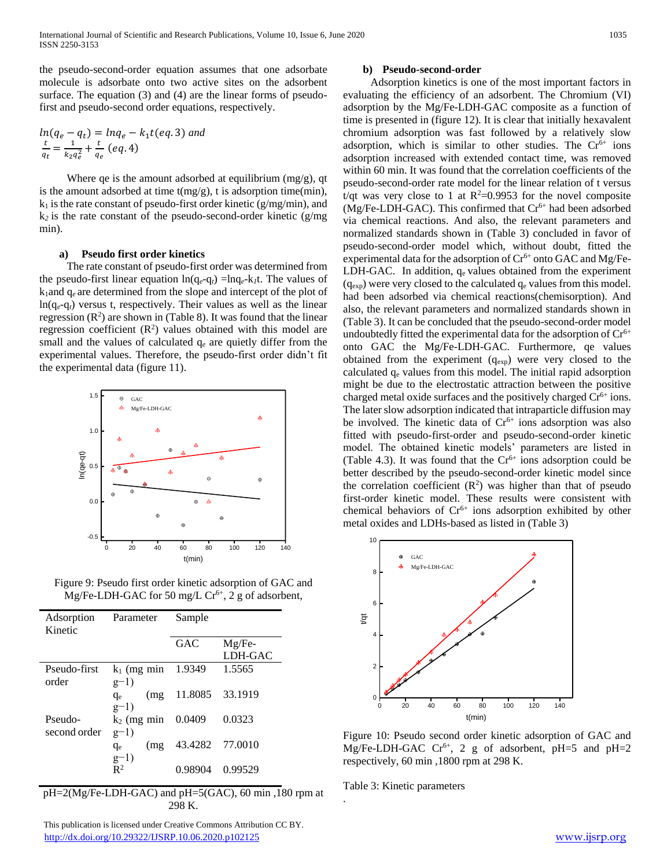the pseudo-second-order equation assumes that one adsorbate molecule is adsorbate onto two active sites on the adsorbent surface. The equation (3) and (4) are the linear forms of pseudofirst and pseudo-second order equations, respectively.

$$
ln(q_e - q_t) = lnq_e - k_1t(eq.3) \text{ and}
$$
  

$$
\frac{t}{q_t} = \frac{1}{k_2q_e^2} + \frac{t}{q_e} (eq.4)
$$

Where qe is the amount adsorbed at equilibrium  $(mg/g)$ , qt is the amount adsorbed at time  $t(mg/g)$ , t is adsorption time(min),  $k_1$  is the rate constant of pseudo-first order kinetic (g/mg/min), and  $k_2$  is the rate constant of the pseudo-second-order kinetic ( $g/mg$ ) min).

#### **a) Pseudo first order kinetics**

 The rate constant of pseudo-first order was determined from the pseudo-first linear equation  $ln(q_e-q_t) = lnq_e-k_t$ . The values of k1and q*<sup>e</sup>* are determined from the slope and intercept of the plot of ln(q*e*-q*t*) versus t, respectively. Their values as well as the linear regression  $(R^2)$  are shown in (Table 8). It was found that the linear regression coefficient  $(R^2)$  values obtained with this model are small and the values of calculated  $q_e$  are quietly differ from the experimental values. Therefore, the pseudo-first order didn't fit the experimental data (figure 11).



Figure 9: Pseudo first order kinetic adsorption of GAC and Mg/Fe-LDH-GAC for 50 mg/L  $Cr^{6+}$ , 2 g of adsorbent,

| Adsorption<br>Kinetic | Parameter      | Sample          |          |
|-----------------------|----------------|-----------------|----------|
|                       |                | <b>GAC</b>      | $Mg/Fe-$ |
|                       |                |                 | LDH-GAC  |
| Pseudo-first          | $k_1$ (mg min  | 1.9349          | 1.5565   |
| order                 | $g-1)$         |                 |          |
|                       | (mg)<br>$q_e$  | 11.8085         | 33.1919  |
|                       | $g-1)$         |                 |          |
| Pseudo-               | $k_2$ (mg min  | 0.0409          | 0.0323   |
| second order          | $g-1)$         |                 |          |
|                       | (mg)<br>$q_e$  | 43.4282 77.0010 |          |
|                       | $g-1)$         |                 |          |
|                       | $\mathbb{R}^2$ | 0.98904         | 0.99529  |

pH=2(Mg/Fe-LDH-GAC) and pH=5(GAC), 60 min ,180 rpm at 298 K.

 This publication is licensed under Creative Commons Attribution CC BY. <http://dx.doi.org/10.29322/IJSRP.10.06.2020.p102125> [www.ijsrp.org](http://ijsrp.org/)

#### **b) Pseudo-second-order**

 Adsorption kinetics is one of the most important factors in evaluating the efficiency of an adsorbent. The Chromium (VI) adsorption by the Mg/Fe-LDH-GAC composite as a function of time is presented in (figure 12). It is clear that initially hexavalent chromium adsorption was fast followed by a relatively slow adsorption, which is similar to other studies. The  $Cr^{6+}$  ions adsorption increased with extended contact time, was removed within 60 min. It was found that the correlation coefficients of the pseudo-second-order rate model for the linear relation of t versus t/qt was very close to 1 at  $R^2=0.9953$  for the novel composite  $(Mg/Fe-LDH-GAC)$ . This confirmed that  $Cr<sup>6+</sup>$  had been adsorbed via chemical reactions. And also, the relevant parameters and normalized standards shown in (Table 3) concluded in favor of pseudo-second-order model which, without doubt, fitted the experimental data for the adsorption of  $Cr^{6+}$  onto GAC and Mg/Fe-LDH-GAC. In addition,  $q_e$  values obtained from the experiment  $(q_{exp})$  were very closed to the calculated  $q_e$  values from this model. had been adsorbed via chemical reactions(chemisorption). And also, the relevant parameters and normalized standards shown in (Table 3). It can be concluded that the pseudo-second-order model undoubtedly fitted the experimental data for the adsorption of  $Cr<sup>6+</sup>$ onto GAC the Mg/Fe-LDH-GAC. Furthermore, qe values obtained from the experiment  $(q_{exp})$  were very closed to the calculated  $q_e$  values from this model. The initial rapid adsorption might be due to the electrostatic attraction between the positive charged metal oxide surfaces and the positively charged  $Cr<sup>6+</sup>$  ions. The later slow adsorption indicated that intraparticle diffusion may be involved. The kinetic data of  $Cr<sup>6+</sup>$  ions adsorption was also fitted with pseudo-first-order and pseudo-second-order kinetic model. The obtained kinetic models' parameters are listed in (Table 4.3). It was found that the  $Cr<sup>6+</sup>$  ions adsorption could be better described by the pseudo-second-order kinetic model since the correlation coefficient  $(R^2)$  was higher than that of pseudo first-order kinetic model. These results were consistent with chemical behaviors of  $Cr^{6+}$  ions adsorption exhibited by other metal oxides and LDHs-based as listed in (Table 3)



Figure 10: Pseudo second order kinetic adsorption of GAC and Mg/Fe-LDH-GAC Cr<sup>6+</sup>, 2 g of adsorbent, pH=5 and pH=2 respectively, 60 min ,1800 rpm at 298 K.

Table 3: Kinetic parameters

.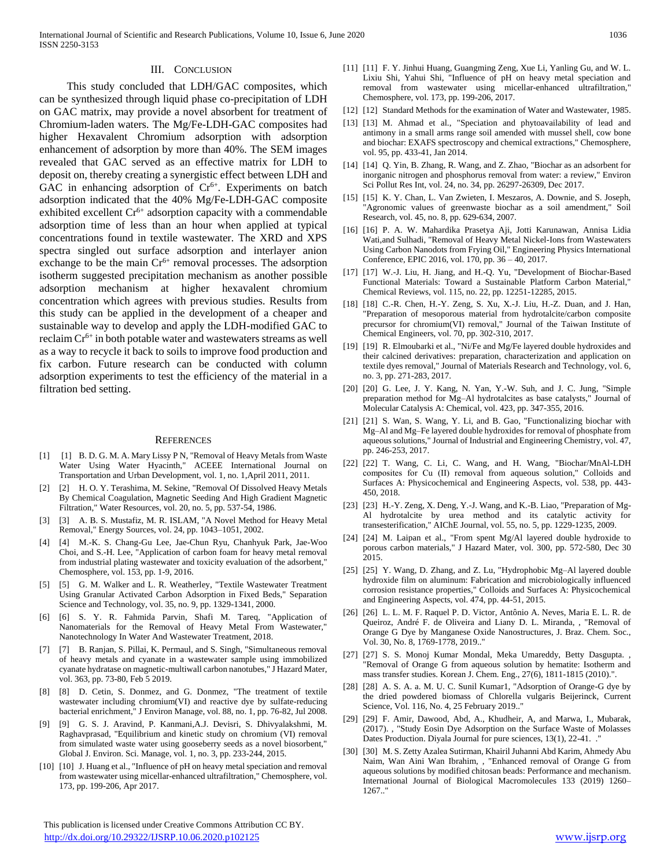# III. CONCLUSION

 This study concluded that LDH/GAC composites, which can be synthesized through liquid phase co-precipitation of LDH on GAC matrix, may provide a novel absorbent for treatment of Chromium-laden waters. The Mg/Fe-LDH-GAC composites had higher Hexavalent Chromium adsorption with adsorption enhancement of adsorption by more than 40%. The SEM images revealed that GAC served as an effective matrix for LDH to deposit on, thereby creating a synergistic effect between LDH and GAC in enhancing adsorption of  $Cr<sup>6+</sup>$ . Experiments on batch adsorption indicated that the 40% Mg/Fe-LDH-GAC composite exhibited excellent  $Cr^{6+}$  adsorption capacity with a commendable adsorption time of less than an hour when applied at typical concentrations found in textile wastewater. The XRD and XPS spectra singled out surface adsorption and interlayer anion exchange to be the main  $Cr<sup>6+</sup>$  removal processes. The adsorption isotherm suggested precipitation mechanism as another possible adsorption mechanism at higher hexavalent chromium concentration which agrees with previous studies. Results from this study can be applied in the development of a cheaper and sustainable way to develop and apply the LDH-modified GAC to reclaim  $Cr^{6+}$  in both potable water and wastewaters streams as well as a way to recycle it back to soils to improve food production and fix carbon. Future research can be conducted with column adsorption experiments to test the efficiency of the material in a filtration bed setting.

#### REFERENCES

- [1] [1] B. D. G. M. A. Mary Lissy P N, "Removal of Heavy Metals from Waste Water Using Water Hyacinth," ACEEE International Journal on Transportation and Urban Development, vol. 1, no. 1,April 2011, 2011.
- [2] [2] H. O. Y. Terashima, M. Sekine, "Removal Of Dissolved Heavy Metals By Chemical Coagulation, Magnetic Seeding And High Gradient Magnetic Filtration," Water Resources, vol. 20, no. 5, pp. 537-54, 1986.
- [3] [3] A. B. S. Mustafiz, M. R. ISLAM, "A Novel Method for Heavy Metal Removal," Energy Sources, vol. 24, pp. 1043–1051, 2002.
- [4] [4] M.-K. S. Chang-Gu Lee, Jae-Chun Ryu, Chanhyuk Park, Jae-Woo Choi, and S.-H. Lee, "Application of carbon foam for heavy metal removal from industrial plating wastewater and toxicity evaluation of the adsorbent," Chemosphere, vol. 153, pp. 1-9, 2016.
- [5] [5] G. M. Walker and L. R. Weatherley, "Textile Wastewater Treatment Using Granular Activated Carbon Adsorption in Fixed Beds," Separation Science and Technology, vol. 35, no. 9, pp. 1329-1341, 2000.
- [6] [6] S. Y. R. Fahmida Parvin, Shafi M. Tareq, "Application of Nanomaterials for the Removal of Heavy Metal From Wastewater," Nanotechnology In Water And Wastewater Treatment, 2018.
- [7] [7] B. Ranjan, S. Pillai, K. Permaul, and S. Singh, "Simultaneous removal of heavy metals and cyanate in a wastewater sample using immobilized cyanate hydratase on magnetic-multiwall carbon nanotubes," J Hazard Mater, vol. 363, pp. 73-80, Feb 5 2019.
- [8] [8] D. Cetin, S. Donmez, and G. Donmez, "The treatment of textile wastewater including chromium(VI) and reactive dye by sulfate-reducing bacterial enrichment," J Environ Manage, vol. 88, no. 1, pp. 76-82, Jul 2008.
- [9] [9] G. S. J. Aravind, P. Kanmani,A.J. Devisri, S. Dhivyalakshmi, M. Raghavprasad, "Equilibrium and kinetic study on chromium (VI) removal from simulated waste water using gooseberry seeds as a novel biosorbent," Global J. Environ. Sci. Manage, vol. 1, no. 3, pp. 233-244, 2015.
- [10] [10] J. Huang et al., "Influence of pH on heavy metal speciation and removal from wastewater using micellar-enhanced ultrafiltration," Chemosphere, vol. 173, pp. 199-206, Apr 2017.

 This publication is licensed under Creative Commons Attribution CC BY. <http://dx.doi.org/10.29322/IJSRP.10.06.2020.p102125> [www.ijsrp.org](http://ijsrp.org/)

- [11] [11] F. Y. Jinhui Huang, Guangming Zeng, Xue Li, Yanling Gu, and W. L. Lixiu Shi, Yahui Shi, "Influence of pH on heavy metal speciation and removal from wastewater using micellar-enhanced ultrafiltration," Chemosphere, vol. 173, pp. 199-206, 2017.
- [12] [12] Standard Methods for the examination of Water and Wastewater, 1985.
- [13] [13] M. Ahmad et al., "Speciation and phytoavailability of lead and antimony in a small arms range soil amended with mussel shell, cow bone and biochar: EXAFS spectroscopy and chemical extractions," Chemosphere, vol. 95, pp. 433-41, Jan 2014.
- [14] [14] Q. Yin, B. Zhang, R. Wang, and Z. Zhao, "Biochar as an adsorbent for inorganic nitrogen and phosphorus removal from water: a review," Environ Sci Pollut Res Int, vol. 24, no. 34, pp. 26297-26309, Dec 2017.
- [15] [15] K. Y. Chan, L. Van Zwieten, I. Meszaros, A. Downie, and S. Joseph, "Agronomic values of greenwaste biochar as a soil amendment," Soil Research, vol. 45, no. 8, pp. 629-634, 2007.
- [16] [16] P. A. W. Mahardika Prasetya Aji, Jotti Karunawan, Annisa Lidia Wati,and Sulhadi, "Removal of Heavy Metal Nickel-Ions from Wastewaters Using Carbon Nanodots from Frying Oil," Engineering Physics International Conference, EPIC 2016, vol. 170, pp. 36 – 40, 2017.
- [17] [17] W.-J. Liu, H. Jiang, and H.-Q. Yu, "Development of Biochar-Based Functional Materials: Toward a Sustainable Platform Carbon Material," Chemical Reviews, vol. 115, no. 22, pp. 12251-12285, 2015.
- [18] [18] C.-R. Chen, H.-Y. Zeng, S. Xu, X.-J. Liu, H.-Z. Duan, and J. Han, "Preparation of mesoporous material from hydrotalcite/carbon composite precursor for chromium(VI) removal," Journal of the Taiwan Institute of Chemical Engineers, vol. 70, pp. 302-310, 2017.
- [19] [19] R. Elmoubarki et al., "Ni/Fe and Mg/Fe layered double hydroxides and their calcined derivatives: preparation, characterization and application on textile dyes removal," Journal of Materials Research and Technology, vol. 6, no. 3, pp. 271-283, 2017.
- [20] [20] G. Lee, J. Y. Kang, N. Yan, Y.-W. Suh, and J. C. Jung, "Simple preparation method for Mg–Al hydrotalcites as base catalysts," Journal of Molecular Catalysis A: Chemical, vol. 423, pp. 347-355, 2016.
- [21] [21] S. Wan, S. Wang, Y. Li, and B. Gao, "Functionalizing biochar with Mg–Al and Mg–Fe layered double hydroxides for removal of phosphate from aqueous solutions," Journal of Industrial and Engineering Chemistry, vol. 47, pp. 246-253, 2017.
- [22] [22] T. Wang, C. Li, C. Wang, and H. Wang, "Biochar/MnAl-LDH composites for Cu (ΙΙ) removal from aqueous solution," Colloids and Surfaces A: Physicochemical and Engineering Aspects, vol. 538, pp. 443- 450, 2018.
- [23] [23] H.-Y. Zeng, X. Deng, Y.-J. Wang, and K.-B. Liao, "Preparation of Mg-Al hydrotalcite by urea method and its catalytic activity for transesterification," AIChE Journal, vol. 55, no. 5, pp. 1229-1235, 2009.
- [24] [24] M. Laipan et al., "From spent Mg/Al layered double hydroxide to porous carbon materials," J Hazard Mater, vol. 300, pp. 572-580, Dec 30 2015.
- [25] [25] Y. Wang, D. Zhang, and Z. Lu, "Hydrophobic Mg–Al layered double hydroxide film on aluminum: Fabrication and microbiologically influenced corrosion resistance properties," Colloids and Surfaces A: Physicochemical and Engineering Aspects, vol. 474, pp. 44-51, 2015.
- [26] [26] L. L. M. F. Raquel P. D. Victor, Antônio A. Neves, Maria E. L. R. de Queiroz, André F. de Oliveira and Liany D. L. Miranda, , "Removal of Orange G Dye by Manganese Oxide Nanostructures, J. Braz. Chem. Soc., Vol. 30, No. 8, 1769-1778, 2019..'
- [27] [27] S. S. Monoj Kumar Mondal, Meka Umareddy, Betty Dasgupta. "Removal of Orange G from aqueous solution by hematite: Isotherm and mass transfer studies. Korean J. Chem. Eng., 27(6), 1811-1815 (2010).".
- [28] [28] A. S. A. a. M. U. C. Sunil Kumar1, "Adsorption of Orange-G dye by the dried powdered biomass of Chlorella vulgaris Beijerinck, Current Science, Vol. 116, No. 4, 25 February 2019.."
- [29] [29] F. Amir, Dawood, Abd, A., Khudheir, A, and Marwa, I., Mubarak, (2017). , "Study Eosin Dye Adsorption on the Surface Waste of Molasses Dates Production. Diyala Journal for pure sciences, 13(1), 22-41. ."
- [30] [30] M. S. Zetty Azalea Sutirman, Khairil Juhanni Abd Karim, Ahmedy Abu Naim, Wan Aini Wan Ibrahim, , "Enhanced removal of Orange G from aqueous solutions by modified chitosan beads: Performance and mechanism. International Journal of Biological Macromolecules 133 (2019) 1260– 1267.."